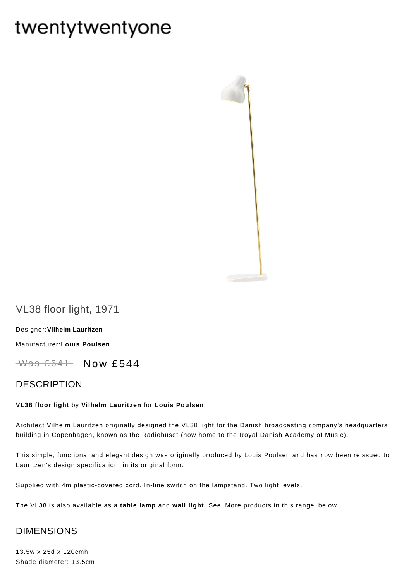# twentytwentyone



# VL38 floor light, 1971

[Designer:](https://www.twentytwentyone.com/collections/designers-vilhelm-lauritzen)**Vilhelm Lauritzen**

[Manufacturer:](https://www.twentytwentyone.com/collections/manufacturers-louis-poulsen)**Louis Poulsen**

 $W$ as £641 Now £544

### DESCRIPTION

#### **VL38 floor light** by **Vilhelm [Lauritzen](http://twentytwentyone.com/designer/vilhelm-lauritzen)** for **Louis [Poulsen](http://twentytwentyone.com/manufacturer/louis-poulsen)**.

Architect Vilhelm Lauritzen originally designed the VL38 light for the Danish broadcasting company's headquarters building in Copenhagen, known as the Radiohuset (now home to the Royal Danish Academy of Music).

This simple, functional and elegant design was originally produced by Louis Poulsen and has now been reissued to Lauritzen's design specification, in its original form.

Supplied with 4m plastic-covered cord. In-line switch on the lampstand. Two light levels.

The VL38 is also available as a **[table](http://twentytwentyone.com/product/louis-poulsen-vilhelm-lauritzen-vl38-table-lamp) lamp** and **wall [light](http://twentytwentyone.com/product/louis-poulsen-vilhelm-lauritzen-vl38-wall-light)**. See 'More products in this range' below.

## DIMENSIONS

13.5w x 25d x 120cmh Shade diameter: 13.5cm